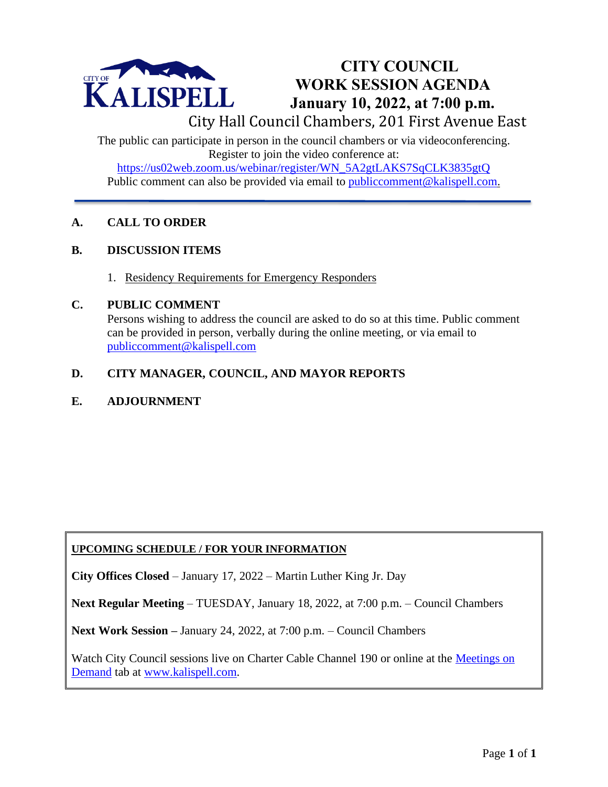

# **CITY COUNCIL WORK SESSION AGENDA January 10, 2022, at 7:00 p.m.**

City Hall Council Chambers, 201 First Avenue East

The public can participate in person in the council chambers or via videoconferencing. Register to join the video conference at: [https://us02web.zoom.us/webinar/register/WN\\_5A2gtLAKS7SqCLK3835gtQ](https://us02web.zoom.us/webinar/register/WN_5A2gtLAKS7SqCLK3835gtQ) Public comment can also be provided via email to public comment@kalispell.com.

## **A. CALL TO ORDER**

## **B. DISCUSSION ITEMS**

1. Residency Requirements for Emergency Responders

#### **C. PUBLIC COMMENT**

Persons wishing to address the council are asked to do so at this time. Public comment can be provided in person, verbally during the online meeting, or via email to [publiccomment@kalispell.com](mailto:publiccomment@kalispell.com)

# **D. CITY MANAGER, COUNCIL, AND MAYOR REPORTS**

## **E. ADJOURNMENT**

## **UPCOMING SCHEDULE / FOR YOUR INFORMATION**

**City Offices Closed** – January 17, 2022 – Martin Luther King Jr. Day

**Next Regular Meeting** – TUESDAY, January 18, 2022, at 7:00 p.m. – Council Chambers

**Next Work Session –** January 24, 2022, at 7:00 p.m. – Council Chambers

Watch City Council sessions live on Charter Cable Channel 190 or online at the [Meetings on](http://www.kalispell.com/mayor_and_city_council/meetings.php)  [Demand](http://www.kalispell.com/mayor_and_city_council/meetings.php) tab at [www.kalispell.com.](http://www.kalispell.com/)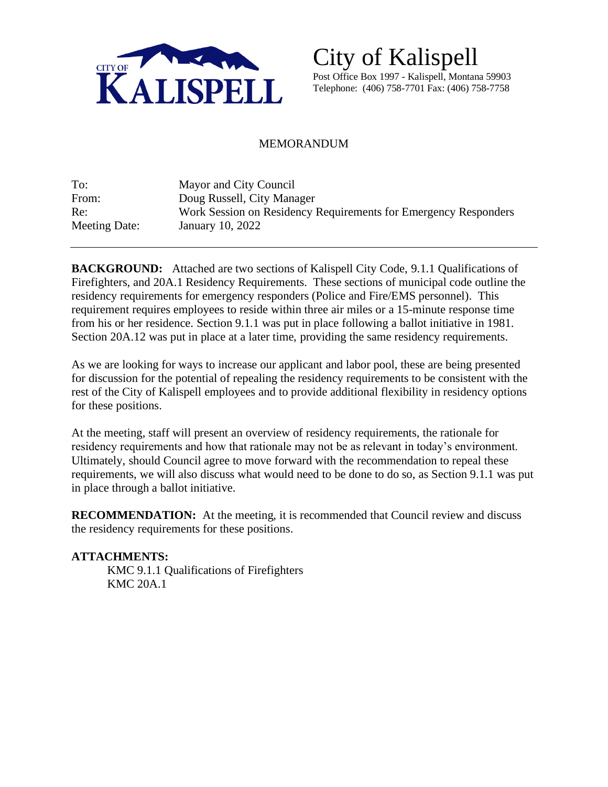

City of Kalispell Post Office Box 1997 - Kalispell, Montana 59903 Telephone: (406) 758-7701 Fax: (406) 758-7758

#### MEMORANDUM

| To:           | Mayor and City Council                                          |
|---------------|-----------------------------------------------------------------|
| From:         | Doug Russell, City Manager                                      |
| Re:           | Work Session on Residency Requirements for Emergency Responders |
| Meeting Date: | January 10, 2022                                                |

**BACKGROUND:** Attached are two sections of Kalispell City Code, 9.1.1 Qualifications of Firefighters, and 20A.1 Residency Requirements. These sections of municipal code outline the residency requirements for emergency responders (Police and Fire/EMS personnel). This requirement requires employees to reside within three air miles or a 15-minute response time from his or her residence. Section 9.1.1 was put in place following a ballot initiative in 1981. Section 20A.12 was put in place at a later time, providing the same residency requirements.

As we are looking for ways to increase our applicant and labor pool, these are being presented for discussion for the potential of repealing the residency requirements to be consistent with the rest of the City of Kalispell employees and to provide additional flexibility in residency options for these positions.

At the meeting, staff will present an overview of residency requirements, the rationale for residency requirements and how that rationale may not be as relevant in today's environment. Ultimately, should Council agree to move forward with the recommendation to repeal these requirements, we will also discuss what would need to be done to do so, as Section 9.1.1 was put in place through a ballot initiative.

**RECOMMENDATION:** At the meeting, it is recommended that Council review and discuss the residency requirements for these positions.

#### **ATTACHMENTS:**

KMC 9.1.1 Qualifications of Firefighters KMC 20A.1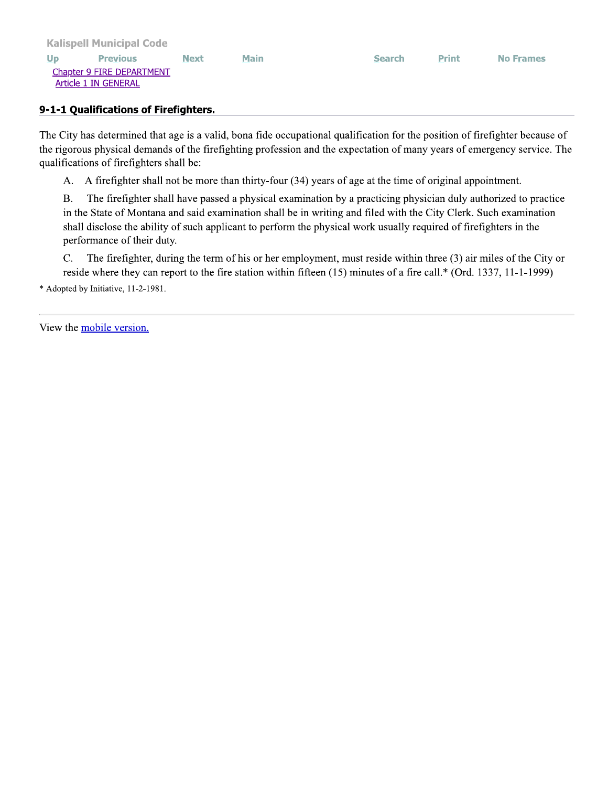#### 9-1-1 Qualifications of Firefighters.

The City has determined that age is a valid, bona fide occupational qualification for the position of firefighter because of the rigorous physical demands of the firefighting profession and the expectation of many years of emergency service. The qualifications of firefighters shall be:

A. A firefighter shall not be more than thirty-four (34) years of age at the time of original appointment.

The firefighter shall have passed a physical examination by a practicing physician duly authorized to practice **B.** in the State of Montana and said examination shall be in writing and filed with the City Clerk. Such examination shall disclose the ability of such applicant to perform the physical work usually required of firefighters in the performance of their duty.

The firefighter, during the term of his or her employment, must reside within three (3) air miles of the City or  $C.$ reside where they can report to the fire station within fifteen (15) minutes of a fire call.\* (Ord. 1337, 11-1-1999)

\* Adopted by Initiative, 11-2-1981.

View the mobile version.